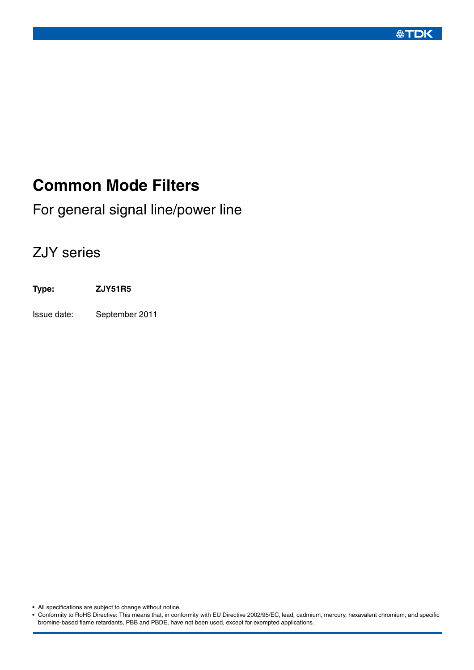**公丁DK** 

# **Common Mode Filters**

For general signal line/power line

# ZJY series

**Type: ZJY51R5**

Issue date: September 2011

• All specifications are subject to change without notice.

• Conformity to RoHS Directive: This means that, in conformity with EU Directive 2002/95/EC, lead, cadmium, mercury, hexavalent chromium, and specific bromine-based flame retardants, PBB and PBDE, have not been used, except for exempted applications.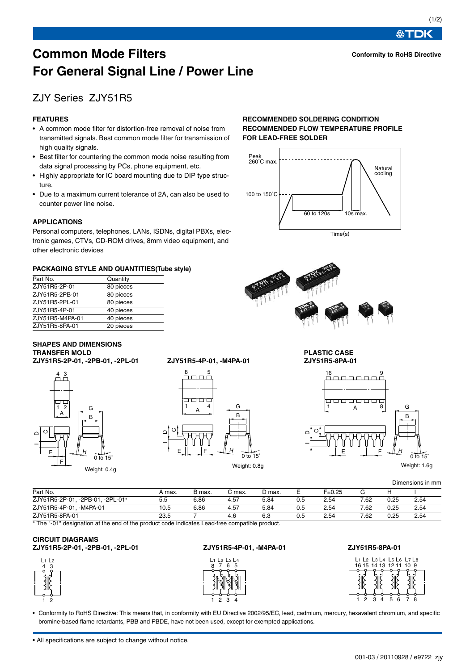**公丁DK** 

## **Common Mode Filters For General Signal Line / Power Line**

## ZJY Series ZJY51R5

#### **FEATURES**

- A common mode filter for distortion-free removal of noise from transmitted signals. Best common mode filter for transmission of high quality signals.
- Best filter for countering the common mode noise resulting from data signal processing by PCs, phone equipment, etc.
- Highly appropriate for IC board mounting due to DIP type structure.
- Due to a maximum current tolerance of 2A, can also be used to counter power line noise.

#### **APPLICATIONS**

Personal computers, telephones, LANs, ISDNs, digital PBXs, electronic games, CTVs, CD-ROM drives, 8mm video equipment, and other electronic devices

#### **PACKAGING STYLE AND QUANTITIES(Tube style)**

| Part No.        | Quantity  |
|-----------------|-----------|
| ZJY51R5-2P-01   | 80 pieces |
| ZJY51R5-2PB-01  | 80 pieces |
| ZJY51R5-2PL-01  | 80 pieces |
| ZJY51R5-4P-01   | 40 pieces |
| ZJY51R5-M4PA-01 | 40 pieces |
| ZJY51R5-8PA-01  | 20 pieces |

#### **RECOMMENDED SOLDERING CONDITION RECOMMENDED FLOW TEMPERATURE PROFILE FOR LEAD-FREE SOLDER**





#### **SHAPES AND DIMENSIONS TRANSFER MOLD PLASTIC CASE ZJY51R5-2P-01, -2PB-01, -2PL-01 ZJY51R5-4P-01, -M4PA-01 ZJY51R5-8PA-01**









Weight: 1.6g

|                                  |         |        |        |        |     |        |      |      | Dimensions in mm |
|----------------------------------|---------|--------|--------|--------|-----|--------|------|------|------------------|
| Part No.                         | A max.  | B max. | C max. | D max. | −   | F±0.25 | G    |      |                  |
| ZJY51R5-2P-01. -2PB-01. -2PL-01* | $5.5\,$ | 6.86   | 4.57   | 5.84   | 0.5 | 2.54   | 7.62 | 0.25 | 2.54             |
| ZJY51R5-4P-01, -M4PA-01          | 10.5    | 6.86   | 4.57   | 5.84   | 0.5 | 2.54   | 7.62 | 0.25 | 2.54             |
| ZJY51R5-8PA-01                   | 23.5    |        | 4.6    | 6.3    | 0.5 | 2.54   | 7.62 | 0.25 | 2.54             |

<sup>∗</sup> The "-01" designation at the end of the product code indicates Lead-free compatible product.

#### **CIRCUIT DIAGRAMS ZJY51R5-2P-01, -2PB-01, -2PL-01 ZJY51R5-4P-01, -M4PA-01 ZJY51R5-8PA-01**





• Conformity to RoHS Directive: This means that, in conformity with EU Directive 2002/95/EC, lead, cadmium, mercury, hexavalent chromium, and specific bromine-based flame retardants, PBB and PBDE, have not been used, except for exempted applications.

• All specifications are subject to change without notice.